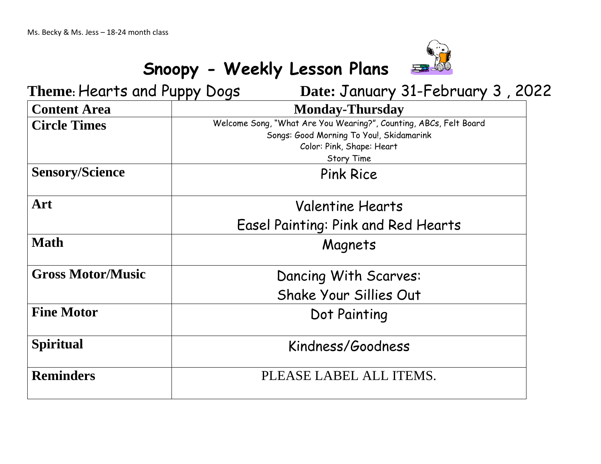

## **Snoopy - Weekly Lesson Plans**

| Theme: Hearts and Puppy Dogs | Date: January 31-February 3, 2022                                                                                                                        |
|------------------------------|----------------------------------------------------------------------------------------------------------------------------------------------------------|
| <b>Content Area</b>          | <b>Monday-Thursday</b>                                                                                                                                   |
| <b>Circle Times</b>          | Welcome Song, "What Are You Wearing?", Counting, ABCs, Felt Board<br>Songs: Good Morning To You!, Skidamarink<br>Color: Pink, Shape: Heart<br>Story Time |
| <b>Sensory/Science</b>       | <b>Pink Rice</b>                                                                                                                                         |
| Art                          | <b>Valentine Hearts</b>                                                                                                                                  |
|                              | Easel Painting: Pink and Red Hearts                                                                                                                      |
| <b>Math</b>                  | Magnets                                                                                                                                                  |
| <b>Gross Motor/Music</b>     | Dancing With Scarves:                                                                                                                                    |
|                              | Shake Your Sillies Out                                                                                                                                   |
| <b>Fine Motor</b>            | Dot Painting                                                                                                                                             |
| <b>Spiritual</b>             | Kindness/Goodness                                                                                                                                        |
| <b>Reminders</b>             | PLEASE LABEL ALL ITEMS.                                                                                                                                  |
|                              |                                                                                                                                                          |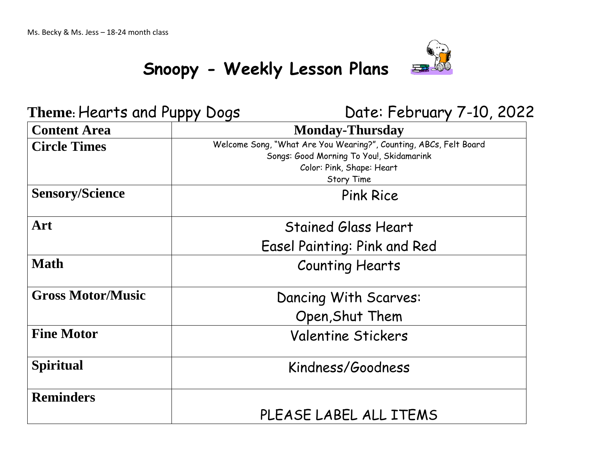

# **Snoopy - Weekly Lesson Plans**

Theme: Hearts and Puppy Dogs Date: February 7-10, 2022

| <b>Content Area</b>      | <b>Monday-Thursday</b>                                                                                                                                          |
|--------------------------|-----------------------------------------------------------------------------------------------------------------------------------------------------------------|
| <b>Circle Times</b>      | Welcome Song, "What Are You Wearing?", Counting, ABCs, Felt Board<br>Songs: Good Morning To You!, Skidamarink<br>Color: Pink, Shape: Heart<br><b>Story Time</b> |
| <b>Sensory/Science</b>   | <b>Pink Rice</b>                                                                                                                                                |
| Art                      | <b>Stained Glass Heart</b>                                                                                                                                      |
|                          | Easel Painting: Pink and Red                                                                                                                                    |
| <b>Math</b>              | <b>Counting Hearts</b>                                                                                                                                          |
| <b>Gross Motor/Music</b> | Dancing With Scarves:                                                                                                                                           |
|                          | Open, Shut Them                                                                                                                                                 |
| <b>Fine Motor</b>        | <b>Valentine Stickers</b>                                                                                                                                       |
| <b>Spiritual</b>         | Kindness/Goodness                                                                                                                                               |
| <b>Reminders</b>         |                                                                                                                                                                 |
|                          | PLEASE LABEL ALL ITEMS                                                                                                                                          |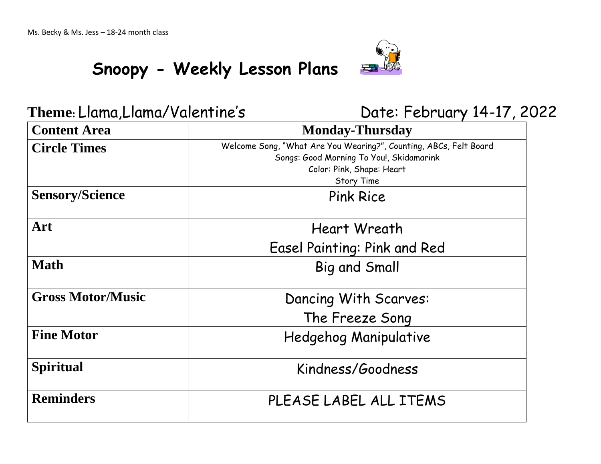# 石

 **Snoopy - Weekly Lesson Plans** 

### **Theme:** Llama,Llama/Valentine'sDate: February 14-17, 2022

| <b>Content Area</b>      | <b>Monday-Thursday</b>                                                                                                                                   |
|--------------------------|----------------------------------------------------------------------------------------------------------------------------------------------------------|
| <b>Circle Times</b>      | Welcome Song, "What Are You Wearing?", Counting, ABCs, Felt Board<br>Songs: Good Morning To You!, Skidamarink<br>Color: Pink, Shape: Heart<br>Story Time |
| <b>Sensory/Science</b>   | <b>Pink Rice</b>                                                                                                                                         |
| Art                      | Heart Wreath                                                                                                                                             |
|                          | Easel Painting: Pink and Red                                                                                                                             |
| <b>Math</b>              | <b>Big and Small</b>                                                                                                                                     |
| <b>Gross Motor/Music</b> | Dancing With Scarves:                                                                                                                                    |
|                          | The Freeze Song                                                                                                                                          |
| <b>Fine Motor</b>        | <b>Hedgehog Manipulative</b>                                                                                                                             |
| <b>Spiritual</b>         | Kindness/Goodness                                                                                                                                        |
| <b>Reminders</b>         | PLEASE LABEL ALL ITEMS                                                                                                                                   |